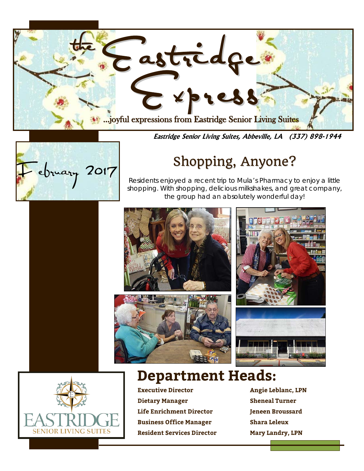

**Eastridge Senior Living Suites, Abbeville, LA (337) 898-1944**

# External Shopping, Anyone?

Residents enjoyed a recent trip to Mula's Pharmacy to enjoy a little shopping. With shopping, delicious milkshakes, and great company, the group had an absolutely wonderful day!





## **Department Heads:**

**Executive Director Angie Leblanc, LPN Dietary Manager Sheneal Turner Life Enrichment Director Jeneen Broussard Business Office Manager Shara Leleux Resident Services Director Mary Landry, LPN**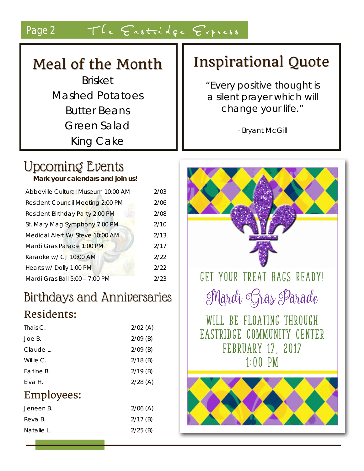### Page 2  $\top$ he Eastridge Express

# Meal of the Month

Brisket Mashed Potatoes Butter Beans Green Salad King Cake

# Inspirational Quote

"Every positive thought is a silent prayer which will change your life."

- Bryant McGill

# Upcoming Events

**Mark your calendars and join us!**

| Abbeville Cultural Museum 10:00 AM | 2/03 |
|------------------------------------|------|
| Resident Council Meeting 2:00 PM   | 2/06 |
| Resident Birthday Party 2:00 PM    | 2/08 |
| St. Mary Mag Symphony 7:00 PM      | 2/10 |
| Medical Alert W/ Steve 10:00 AM    | 2/13 |
| Mardi Gras Parade 1:00 PM          | 2/17 |
| Karaoke w/ CJ 10:00 AM             | 2/22 |
| Hearts w/ Dolly 1:00 PM            | 2/22 |
| Mardi Gras Ball 5:00 - 7:00 PM     | 2/23 |

### Birthdays and Anniversaries Residents:

| Thais C.   | $2/02$ (A) |
|------------|------------|
| Joe B.     | $2/09$ (B) |
| Claude L.  | $2/09$ (B) |
| Willie C.  | $2/18$ (B) |
| Earline B. | $2/19$ (B) |
| Flva H.    | $2/28$ (A) |
| Employees: |            |
| Jeneen B.  | 2/06(A)    |
| Reva B.    | 2/17(B)    |
| Natalie L. | $2/25$ (B) |

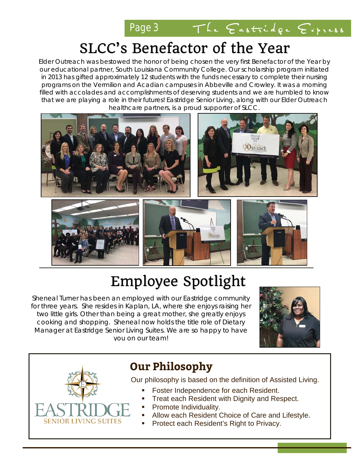

# SLCC's Benefactor of the Year

[Elder Outreach](https://www.facebook.com/ElderOutreach/) was bestowed the honor of being chosen the very first Benefactor of the Year by our educational partner, [South Louisiana Community College.](https://www.facebook.com/southlacc/) Our scholarship program initiated in 2013 has gifted approximately 12 students with the funds necessary to complete their nursing programs on the Vermilion and Acadian campuses in Abbeville and Crowley. It was a morning filled with accolades and accomplishments of deserving students and we are humbled to know that we are playing a role in their futures! Eastridge Senior Living, along with our Elder Outreach healthcare partners, is a proud supporter of SLCC.



# Employee Spotlight

Sheneal Turner has been an employed with our Eastridge community for three years. She resides in Kaplan, LA, where she enjoys raising her two little girls. Other than being a great mother, she greatly enjoys cooking and shopping. Sheneal now holds the title role of Dietary Manager at Eastridge Senior Living Suites. We are so happy to have you on our team!





#### **Our Philosophy**

Our philosophy is based on the definition of Assisted Living.

- Foster Independence for each Resident.
	- Treat each Resident with Dignity and Respect.
- Promote Individuality.
- Allow each Resident Choice of Care and Lifestyle.
- Protect each Resident's Right to Privacy.